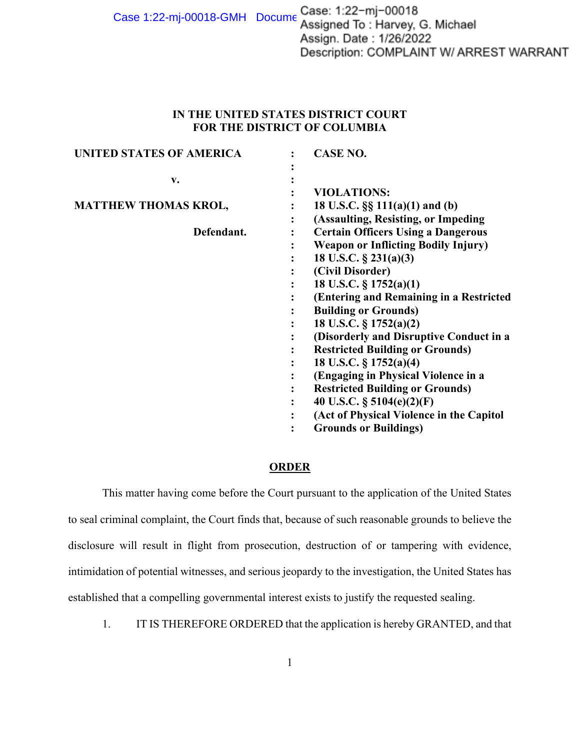Case 1:22-mj-00018-GMH Docume Case: 1:22-mj-00018<br>Assigned To: Harvey, G. Michael Assign. Date: 1/26/2022 Description: COMPLAINT W/ ARREST WARRANT

## **IN THE UNITED STATES DISTRICT COURT FOR THE DISTRICT OF COLUMBIA**

| <b>UNITED STATES OF AMERICA</b> |           | <b>CASE NO.</b>                            |
|---------------------------------|-----------|--------------------------------------------|
|                                 |           |                                            |
| v.                              |           |                                            |
|                                 |           | <b>VIOLATIONS:</b>                         |
| <b>MATTHEW THOMAS KROL,</b>     |           | 18 U.S.C. $\S\S 111(a)(1)$ and (b)         |
|                                 | $\bullet$ | (Assaulting, Resisting, or Impeding        |
| Defendant.                      |           | <b>Certain Officers Using a Dangerous</b>  |
|                                 |           | <b>Weapon or Inflicting Bodily Injury)</b> |
|                                 |           | 18 U.S.C. $\S$ 231(a)(3)                   |
|                                 |           | (Civil Disorder)                           |
|                                 |           | 18 U.S.C. § 1752(a)(1)                     |
|                                 |           | (Entering and Remaining in a Restricted    |
|                                 |           | <b>Building or Grounds)</b>                |
|                                 |           | 18 U.S.C. § 1752(a)(2)                     |
|                                 |           | (Disorderly and Disruptive Conduct in a    |
|                                 |           | <b>Restricted Building or Grounds)</b>     |
|                                 |           | 18 U.S.C. § 1752(a)(4)                     |
|                                 |           | (Engaging in Physical Violence in a        |
|                                 |           | <b>Restricted Building or Grounds)</b>     |
|                                 |           | 40 U.S.C. $\S$ 5104(e)(2)(F)               |
|                                 |           | (Act of Physical Violence in the Capitol   |
|                                 |           | <b>Grounds or Buildings)</b>               |

## **ORDER**

This matter having come before the Court pursuant to the application of the United States to seal criminal complaint, the Court finds that, because of such reasonable grounds to believe the disclosure will result in flight from prosecution, destruction of or tampering with evidence, intimidation of potential witnesses, and serious jeopardy to the investigation, the United States has established that a compelling governmental interest exists to justify the requested sealing.

1. IT IS THEREFORE ORDERED that the application is hereby GRANTED, and that